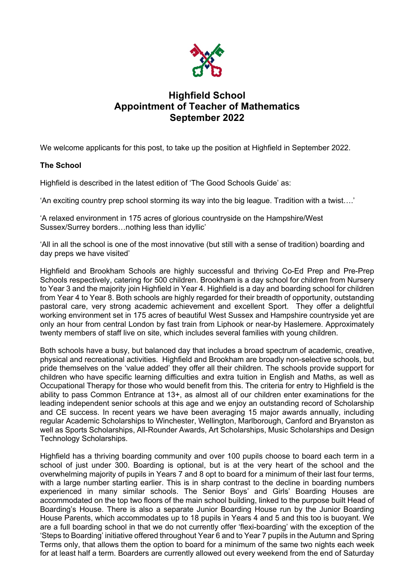

# **Highfield School Appointment of Teacher of Mathematics September 2022**

We welcome applicants for this post, to take up the position at Highfield in September 2022.

## **The School**

Highfield is described in the latest edition of 'The Good Schools Guide' as:

'An exciting country prep school storming its way into the big league. Tradition with a twist….'

'A relaxed environment in 175 acres of glorious countryside on the Hampshire/West Sussex/Surrey borders…nothing less than idyllic'

'All in all the school is one of the most innovative (but still with a sense of tradition) boarding and day preps we have visited'

Highfield and Brookham Schools are highly successful and thriving Co-Ed Prep and Pre-Prep Schools respectively, catering for 500 children. Brookham is a day school for children from Nursery to Year 3 and the majority join Highfield in Year 4. Highfield is a day and boarding school for children from Year 4 to Year 8. Both schools are highly regarded for their breadth of opportunity, outstanding pastoral care, very strong academic achievement and excellent Sport. They offer a delightful working environment set in 175 acres of beautiful West Sussex and Hampshire countryside yet are only an hour from central London by fast train from Liphook or near-by Haslemere. Approximately twenty members of staff live on site, which includes several families with young children.

Both schools have a busy, but balanced day that includes a broad spectrum of academic, creative, physical and recreational activities. Highfield and Brookham are broadly non-selective schools, but pride themselves on the 'value added' they offer all their children. The schools provide support for children who have specific learning difficulties and extra tuition in English and Maths, as well as Occupational Therapy for those who would benefit from this. The criteria for entry to Highfield is the ability to pass Common Entrance at 13+, as almost all of our children enter examinations for the leading independent senior schools at this age and we enjoy an outstanding record of Scholarship and CE success. In recent years we have been averaging 15 major awards annually, including regular Academic Scholarships to Winchester, Wellington, Marlborough, Canford and Bryanston as well as Sports Scholarships, All-Rounder Awards, Art Scholarships, Music Scholarships and Design Technology Scholarships.

Highfield has a thriving boarding community and over 100 pupils choose to board each term in a school of just under 300. Boarding is optional, but is at the very heart of the school and the overwhelming majority of pupils in Years 7 and 8 opt to board for a minimum of their last four terms, with a large number starting earlier. This is in sharp contrast to the decline in boarding numbers experienced in many similar schools. The Senior Boys' and Girls' Boarding Houses are accommodated on the top two floors of the main school building, linked to the purpose built Head of Boarding's House. There is also a separate Junior Boarding House run by the Junior Boarding House Parents, which accommodates up to 18 pupils in Years 4 and 5 and this too is buoyant. We are a full boarding school in that we do not currently offer 'flexi-boarding' with the exception of the 'Steps to Boarding' initiative offered throughout Year 6 and to Year 7 pupils in the Autumn and Spring Terms only, that allows them the option to board for a minimum of the same two nights each week for at least half a term. Boarders are currently allowed out every weekend from the end of Saturday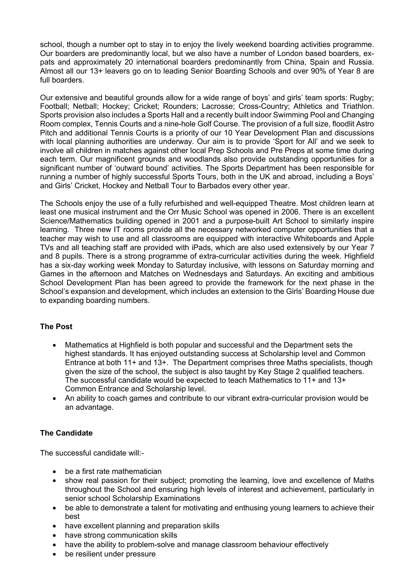school, though a number opt to stay in to enjoy the lively weekend boarding activities programme. Our boarders are predominantly local, but we also have a number of London based boarders, expats and approximately 20 international boarders predominantly from China, Spain and Russia. Almost all our 13+ leavers go on to leading Senior Boarding Schools and over 90% of Year 8 are full boarders.

Our extensive and beautiful grounds allow for a wide range of boys' and girls' team sports: Rugby; Football; Netball; Hockey; Cricket; Rounders; Lacrosse; Cross-Country; Athletics and Triathlon. Sports provision also includes a Sports Hall and a recently built indoor Swimming Pool and Changing Room complex, Tennis Courts and a nine-hole Golf Course. The provision of a full size, floodlit Astro Pitch and additional Tennis Courts is a priority of our 10 Year Development Plan and discussions with local planning authorities are underway. Our aim is to provide 'Sport for All' and we seek to involve all children in matches against other local Prep Schools and Pre Preps at some time during each term. Our magnificent grounds and woodlands also provide outstanding opportunities for a significant number of 'outward bound' activities. The Sports Department has been responsible for running a number of highly successful Sports Tours, both in the UK and abroad, including a Boys' and Girls' Cricket, Hockey and Netball Tour to Barbados every other year.

The Schools enjoy the use of a fully refurbished and well-equipped Theatre. Most children learn at least one musical instrument and the Orr Music School was opened in 2006. There is an excellent Science/Mathematics building opened in 2001 and a purpose-built Art School to similarly inspire learning. Three new IT rooms provide all the necessary networked computer opportunities that a teacher may wish to use and all classrooms are equipped with interactive Whiteboards and Apple TVs and all teaching staff are provided with iPads, which are also used extensively by our Year 7 and 8 pupils. There is a strong programme of extra-curricular activities during the week. Highfield has a six-day working week Monday to Saturday inclusive, with lessons on Saturday morning and Games in the afternoon and Matches on Wednesdays and Saturdays. An exciting and ambitious School Development Plan has been agreed to provide the framework for the next phase in the School's expansion and development, which includes an extension to the Girls' Boarding House due to expanding boarding numbers.

## **The Post**

- Mathematics at Highfield is both popular and successful and the Department sets the highest standards. It has enjoyed outstanding success at Scholarship level and Common Entrance at both 11+ and 13+. The Department comprises three Maths specialists, though given the size of the school, the subject is also taught by Key Stage 2 qualified teachers. The successful candidate would be expected to teach Mathematics to 11+ and 13+ Common Entrance and Scholarship level.
- An ability to coach games and contribute to our vibrant extra-curricular provision would be an advantage.

## **The Candidate**

The successful candidate will:-

- be a first rate mathematician
- show real passion for their subject; promoting the learning, love and excellence of Maths throughout the School and ensuring high levels of interest and achievement, particularly in senior school Scholarship Examinations
- be able to demonstrate a talent for motivating and enthusing young learners to achieve their best
- have excellent planning and preparation skills
- have strong communication skills
- have the ability to problem-solve and manage classroom behaviour effectively
- be resilient under pressure